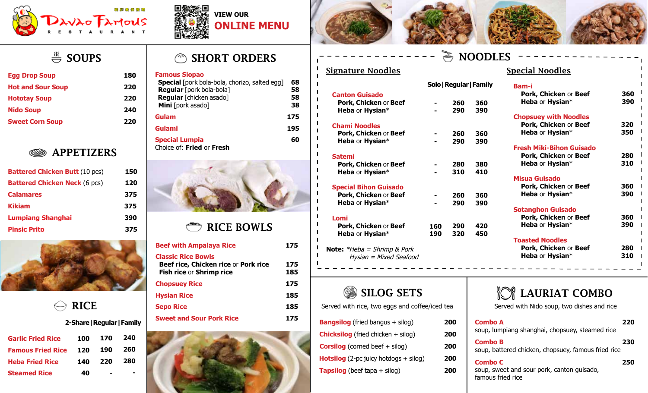





**Canton Guisado**

**Chami Noodles**

**Satemi**

 $\blacksquare$ 

 $\blacksquare$  $\blacksquare$  $\overline{\phantom{a}}$  $\overline{\phantom{a}}$ 

 $\blacksquare$  $\overline{\phantom{a}}$  $\blacksquare$ 

 $\blacksquare$ 

 $\blacksquare$  $\blacksquare$  $\mathbf{I}$  $\overline{\phantom{a}}$  $\mathbf{I}$ 

**Lomi** 

 **Pork, Chicken** or **Beef Heba** or **Hysian**\*

 **Pork, Chicken** or **Beef Heba** or **Hysian**\*

 **Pork, Chicken** or **Beef Heba** or **Hysian**\*

**Special Bihon Guisado Pork, Chicken** or **Beef Heba** or **Hysian**\*

 **Pork, Chicken** or **Beef Heba** or **Hysian**\*

**Note:** \*Heba = Shrimp & Pork



# $\stackrel{\text{\tiny{\textsf{III}}}}{\rightleftharpoons}$  SOUPS

| <b>Egg Drop Soup</b>     | 180 |
|--------------------------|-----|
| <b>Hot and Sour Soup</b> | 220 |
| <b>Hototay Soup</b>      | 220 |
| <b>Nido Soup</b>         | 240 |
| <b>Sweet Corn Soup</b>   | 220 |

#### APPETIZERS ▧

| <b>Battered Chicken Butt (10 pcs)</b> | 150 |
|---------------------------------------|-----|
| <b>Battered Chicken Neck (6 pcs)</b>  | 120 |
| <b>Calamares</b>                      | 375 |
| <b>Kikiam</b>                         | 375 |
| <b>Lumpiang Shanghai</b>              | 390 |
| <b>Pinsic Prito</b>                   | 375 |



| <b>RICE</b> |
|-------------|
|             |

#### **2-Share|Regular|Family**

| <b>Garlic Fried Rice</b> | 100 | 170 | 240 |
|--------------------------|-----|-----|-----|
| <b>Famous Fried Rice</b> | 120 | 190 | 260 |
| <b>Heba Fried Rice</b>   | 140 | 220 | 280 |
| <b>Steamed Rice</b>      | 40  |     |     |

### SHORT ORDERS

#### **Famous Siopao**

| <b>Special</b> [pork bola-bola, chorizo, salted egg] | 68  |
|------------------------------------------------------|-----|
| Regular [pork bola-bola]                             | 58  |
| Regular [chicken asado]                              | 58  |
| Mini [pork asado]                                    | 38  |
| Gulam                                                | 175 |
| Gulami                                               | 195 |
| <b>Special Lumpia</b><br>Choice of: Fried or Fresh   | 60  |



#### RICE BOWLS

| 175        |  |
|------------|--|
| 175<br>185 |  |
| 175        |  |
| 185        |  |
| 185        |  |
| 175        |  |
|            |  |



# **NOODLES**

**360 390**

**360 390**

**380 410**

**360 390**

**420 450**

**- -** **260 290**

**Solo|Regular|Family**

**260 290**

**280 310**

**260 290**

**290 320**

**- -**

**- -**

**- -**

**160 190**

#### Signature Noodles **Special Noodles**

| Bam-i<br>Pork, Chicken or Beef<br>Heba or Hysian*                           | 360<br>390 |
|-----------------------------------------------------------------------------|------------|
| <b>Chopsuey with Noodles</b><br>Pork, Chicken or Beef<br>Heba or Hysian*    | 320<br>350 |
| <b>Fresh Miki-Bihon Guisado</b><br>Pork, Chicken or Beef<br>Heba or Hysian* | 280<br>310 |
| Misua Guisado<br>Pork, Chicken or Beef<br>Heba or Hysian*                   | 360<br>390 |
| <b>Sotanghon Guisado</b><br>Pork, Chicken or Beef<br>Heba or Hysian*        | 360<br>390 |
| <b>Toasted Noodles</b><br>Pork, Chicken or Beef<br>Heba or Hysian*          | 280<br>310 |

0

Hysian = Mixed Seafood

Served with rice, two eggs and coffee/iced tea  $\parallel$  Served with Nido soup, two dishes and rice

| <b>Bangsilog</b> (fried bangus + silog)        | 200 |
|------------------------------------------------|-----|
| <b>Chicksilog</b> (fried chicken $+$ silog)    | 200 |
| <b>Corsilog</b> (corned beef $+$ silog)        | 200 |
| <b>Hotsilog</b> (2-pc juicy hotdogs $+$ silog) | 200 |
| <b>Tapsilog</b> (beef tapa $+$ silog)          | 200 |
|                                                |     |

## SILOG SETS | **INCOLAURIAT COMBO**

| <b>Sweet and Sour Pork Rice</b> | 175 | <b>Bangsilog</b> (fried bangus + silog)        | 200 | <b>Combo A</b>                                                        | 220 |
|---------------------------------|-----|------------------------------------------------|-----|-----------------------------------------------------------------------|-----|
|                                 |     | <b>Chicksilog</b> (fried chicken $+$ silog)    | 200 | soup, lumpiang shanghai, chopsuey, steamed rice                       |     |
|                                 |     | <b>Corsilog</b> (corned beef $+$ silog)        | 200 | <b>Combo B</b><br>soup, battered chicken, chopsuey, famous fried rice | 230 |
|                                 |     | <b>Hotsilog</b> (2-pc juicy hotdogs $+$ silog) | 200 | <b>Combo C</b>                                                        | 250 |
|                                 |     | <b>Tapsilog</b> (beef tapa $+$ silog)          | 200 | soup, sweet and sour pork, canton guisado,<br>famous fried rice       |     |